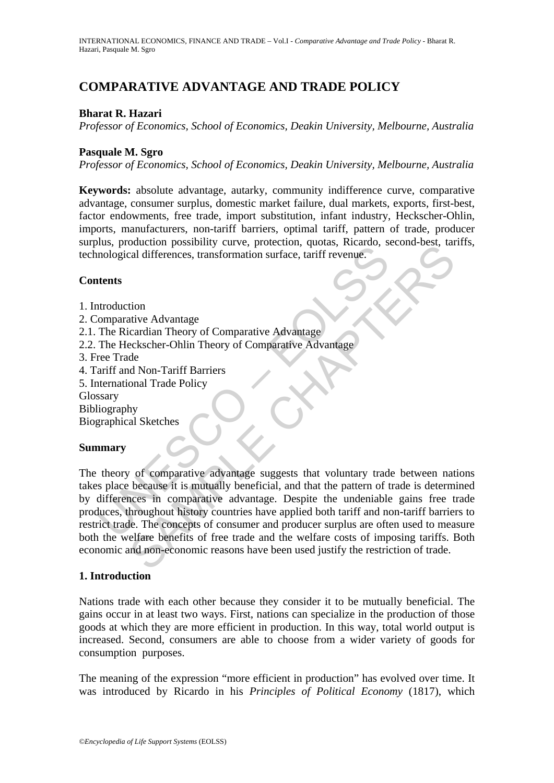# **COMPARATIVE ADVANTAGE AND TRADE POLICY**

### **Bharat R. Hazari**

*Professor of Economics, School of Economics, Deakin University, Melbourne, Australia* 

#### **Pasquale M. Sgro**

*Professor of Economics, School of Economics, Deakin University, Melbourne, Australia* 

**Keywords:** absolute advantage, autarky, community indifference curve, comparative advantage, consumer surplus, domestic market failure, dual markets, exports, first-best, factor endowments, free trade, import substitution, infant industry, Heckscher-Ohlin, imports, manufacturers, non-tariff barriers, optimal tariff, pattern of trade, producer surplus, production possibility curve, protection, quotas, Ricardo, second-best, tariffs, technological differences, transformation surface, tariff revenue.

#### **Contents**

- 1. Introduction
- 2. Comparative Advantage
- 2.1. The Ricardian Theory of Comparative Advantage
- 2.2. The Heckscher-Ohlin Theory of Comparative Advantage
- 3. Free Trade
- 4. Tariff and Non-Tariff Barriers
- 5. International Trade Policy
- Glossary
- Bibliography

Biographical Sketches

#### **Summary**

Mas, production possibility curve, protection, quotal, receiver<br>
influence terms<br>
included differences, transformation surface, tariff revenue.<br> **Itents**<br>
Itentitive Advantage<br>
The Ricardian Theory of Comparative Advantage Collection possibility carve, protection, quotas, stecharo, stecharocki, tanditive Advantage<br>
and differences, transformation surface, tariff revenue.<br>
tion<br>
tion<br>
de<br>
d Non-Tariff Barriers<br>
de<br>
d Non-Tariff Barriers<br>
onal The theory of comparative advantage suggests that voluntary trade between nations takes place because it is mutually beneficial, and that the pattern of trade is determined by differences in comparative advantage. Despite the undeniable gains free trade produces, throughout history countries have applied both tariff and non-tariff barriers to restrict trade. The concepts of consumer and producer surplus are often used to measure both the welfare benefits of free trade and the welfare costs of imposing tariffs. Both economic and non-economic reasons have been used justify the restriction of trade.

#### **1. Introduction**

Nations trade with each other because they consider it to be mutually beneficial. The gains occur in at least two ways. First, nations can specialize in the production of those goods at which they are more efficient in production. In this way, total world output is increased. Second, consumers are able to choose from a wider variety of goods for consumption purposes.

The meaning of the expression "more efficient in production" has evolved over time. It was introduced by Ricardo in his *Principles of Political Economy* (1817), which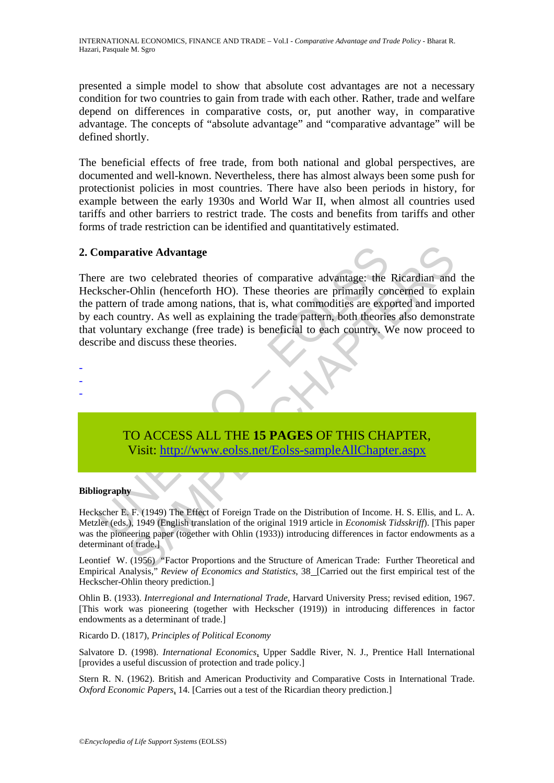presented a simple model to show that absolute cost advantages are not a necessary condition for two countries to gain from trade with each other. Rather, trade and welfare depend on differences in comparative costs, or, put another way, in comparative advantage. The concepts of "absolute advantage" and "comparative advantage" will be defined shortly.

The beneficial effects of free trade, from both national and global perspectives, are documented and well-known. Nevertheless, there has almost always been some push for protectionist policies in most countries. There have also been periods in history, for example between the early 1930s and World War II, when almost all countries used tariffs and other barriers to restrict trade. The costs and benefits from tariffs and other forms of trade restriction can be identified and quantitatively estimated.

#### **2. Comparative Advantage**

Comparative Advantage<br>
is are two celebrated theories of comparative advantage: the<br>
skecher-Ohlin (henceforth HO). These theories are primarily contatern of trade among nations, that is, what commodities are expanse and<br> **The EXECT SET CONSTRANT CONSTRANT CONSTRANT CONSTRANT CONSTRANT CONSTRANT CONSTRANT CONSTRANT CONSTRANT CONSTRANT CONSTRANT CONSTRANT CONSTRANT CONSTRANT CONSTRANT CONSTRANT CONSTRANT CONSTRANT CONSTRANT CONSTRANT CONSTRA** There are two celebrated theories of comparative advantage: the Ricardian and the Heckscher-Ohlin (henceforth HO). These theories are primarily concerned to explain the pattern of trade among nations, that is, what commodities are exported and imported by each country. As well as explaining the trade pattern, both theories also demonstrate that voluntary exchange (free trade) is beneficial to each country. We now proceed to describe and discuss these theories.

- -

-

## TO ACCESS ALL THE **15 PAGES** OF THIS CHAPTER, Visit: http://www.eolss.net/Eolss-sampleAllChapter.aspx

#### **Bibliography**

Heckscher E. F. (1949) The Effect of Foreign Trade on the Distribution of Income. H. S. Ellis, and L. A. Metzler (eds.), 1949 (English translation of the original 1919 article in *Economisk Tidsskriff*). [This paper was the pioneering paper (together with Ohlin (1933)) introducing differences in factor endowments as a determinant of trade.]

Leontief W. (1956) "Factor Proportions and the Structure of American Trade: Further Theoretical and Empirical Analysis," *Review of Economics and Statistics*, 38 [Carried out the first empirical test of the Heckscher-Ohlin theory prediction.]

Ohlin B. (1933). *Interregional and International Trade*, Harvard University Press; revised edition, 1967. [This work was pioneering (together with Heckscher (1919)) in introducing differences in factor endowments as a determinant of trade.]

Ricardo D. (1817), *Principles of Political Economy*

Salvatore D. (1998). *International Economics*, Upper Saddle River, N. J., Prentice Hall International [provides a useful discussion of protection and trade policy.]

Stern R. N. (1962). British and American Productivity and Comparative Costs in International Trade. *Oxford Economic Papers*, 14. [Carries out a test of the Ricardian theory prediction.]